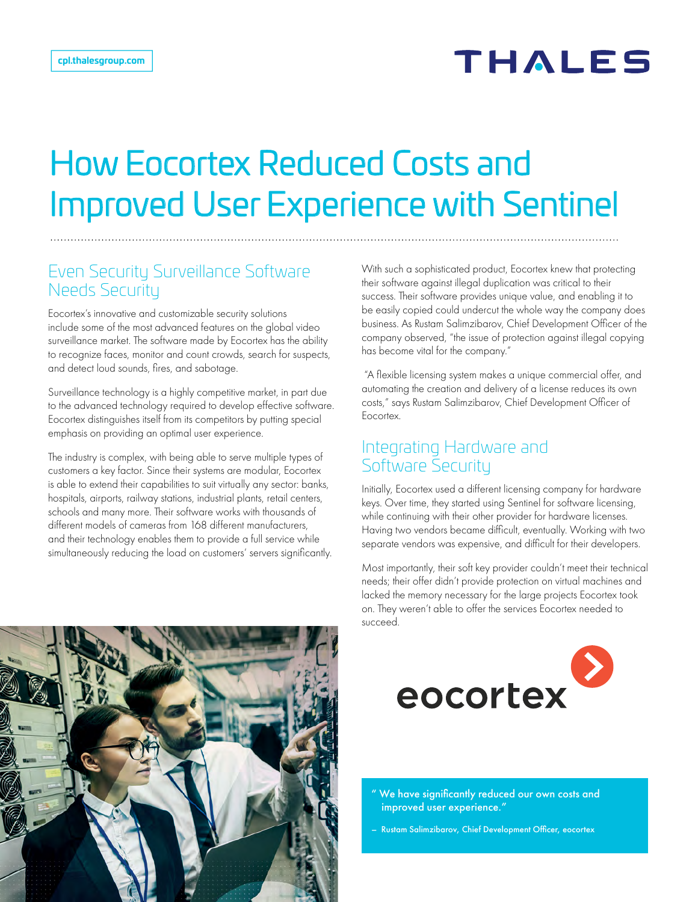# How Eocortex Reduced Costs and Improved User Experience with Sentinel

#### Even Security Surveillance Software Needs Security

Eocortex's innovative and customizable security solutions include some of the most advanced features on the global video surveillance market. The software made by Eocortex has the ability to recognize faces, monitor and count crowds, search for suspects, and detect loud sounds, fires, and sabotage.

Surveillance technology is a highly competitive market, in part due to the advanced technology required to develop effective software. Eocortex distinguishes itself from its competitors by putting special emphasis on providing an optimal user experience.

The industry is complex, with being able to serve multiple types of customers a key factor. Since their systems are modular, Eocortex is able to extend their capabilities to suit virtually any sector: banks, hospitals, airports, railway stations, industrial plants, retail centers, schools and many more. Their software works with thousands of different models of cameras from 168 different manufacturers, and their technology enables them to provide a full service while simultaneously reducing the load on customers' servers significantly. With such a sophisticated product, Eocortex knew that protecting their software against illegal duplication was critical to their success. Their software provides unique value, and enabling it to be easily copied could undercut the whole way the company does business. As Rustam Salimzibarov, Chief Development Officer of the company observed, "the issue of protection against illegal copying has become vital for the company."

 "A flexible licensing system makes a unique commercial offer, and automating the creation and delivery of a license reduces its own costs," says Rustam Salimzibarov, Chief Development Officer of Eocortex.

#### Integrating Hardware and Software Security

Initially, Eocortex used a different licensing company for hardware keys. Over time, they started using Sentinel for software licensing, while continuing with their other provider for hardware licenses. Having two vendors became difficult, eventually. Working with two separate vendors was expensive, and difficult for their developers.

Most importantly, their soft key provider couldn't meet their technical needs; their offer didn't provide protection on virtual machines and lacked the memory necessary for the large projects Eocortex took on. They weren't able to offer the services Eocortex needed to succeed.



" We have significantly reduced our own costs and improved user experience."

– Rustam Salimzibarov, Chief Development Officer, eocortex